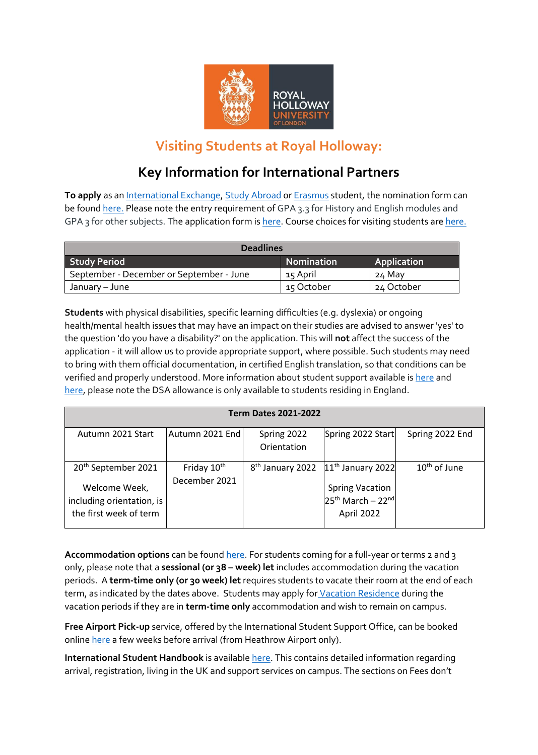

## **Visiting Students at Royal Holloway:**

## **Key Information for International Partners**

**To apply** as a[n International Exchange,](https://www.royalholloway.ac.uk/international/studyabroadandexchanges/internationalexchange/applying.aspx) [Study Abroad](https://www.royalholloway.ac.uk/international/studyabroadandexchanges/studyabroad/applying.aspx) o[r Erasmus](https://www.royalholloway.ac.uk/international/studyabroadandexchanges/erasmusexchange/applying.aspx) student, the nomination form can be foun[d here.](https://www.royalholloway.ac.uk/studying-here/studying-abroad/join-us-from-abroad/partner-universities-nomination-form/) Please note the entry requirement of GPA 3.3 for History and English modules and GPA 3 for other subjects. The application form is [here.](https://admissions.royalholloway.ac.uk/R/RA.aspx?A=4) Course choices for visiting students ar[e here.](https://www.royalholloway.ac.uk/studying-here/studying-abroad/join-us-from-abroad/choose-your-course/)

| <b>Deadlines</b>                         |                   |             |  |  |  |
|------------------------------------------|-------------------|-------------|--|--|--|
| <b>Study Period</b>                      | <b>Nomination</b> | Application |  |  |  |
| September - December or September - June | 15 April          | 24 May      |  |  |  |
| January – June                           | 15 October        | 24 October  |  |  |  |

**Students** with physical disabilities, specific learning difficulties (e.g. dyslexia) or ongoing health/mental health issues that may have an impact on their studies are advised to answer 'yes' to the question 'do you have a disability?' on the application. This will **not** affect the success of the application - it will allow us to provide appropriate support, where possible. Such students may need to bring with them official documentation, in certified English translation, so that conditions can be verified and properly understood. More information about student support available is [here](https://www.royalholloway.ac.uk/students/help-support/disabilities-and-dyslexia/home.aspx) and [here,](https://www.royalholloway.ac.uk/students/help-support/wellbeing/student-wellbeing.aspx) please note the DSA allowance is only available to students residing in England.

| <b>Term Dates 2021-2022</b> |                              |                                 |                                                                    |  |  |  |
|-----------------------------|------------------------------|---------------------------------|--------------------------------------------------------------------|--|--|--|
| Autumn 2021 Endl            | Spring 2022                  |                                 | Spring 2022 End                                                    |  |  |  |
|                             | Orientation                  |                                 |                                                                    |  |  |  |
| Friday 10 <sup>th</sup>     | 8 <sup>th</sup> January 2022 |                                 | $10th$ of June                                                     |  |  |  |
| December 2021               |                              |                                 |                                                                    |  |  |  |
|                             |                              | $25th$ March - 22 <sup>nd</sup> |                                                                    |  |  |  |
|                             |                              | April 2022                      |                                                                    |  |  |  |
|                             |                              |                                 | Spring 2022 Start<br>$11th$ January 2022<br><b>Spring Vacation</b> |  |  |  |

**Accommodation options** can be found [here.](https://www.royalholloway.ac.uk/student-life/accommodation/) For students coming for a full-year or terms 2 and 3 only, please note that a **sessional (or 38 – week) let** includes accommodation during the vacation periods. A **term-time only (or 30 week) let** requires students to vacate their room at the end of each term, as indicated by the dates above. Students may apply for [Vacation Residence](https://intranet.royalholloway.ac.uk/students/where-i-live/apply-to-halls-201819.aspx) during the vacation periods if they are in **term-time only** accommodation and wish to remain on campus.

**Free Airport Pick-up** service, offered by the International Student Support Office, can be booked online [here](https://www.royalholloway.ac.uk/international/afterapplying/pre-departureadvice/freeairportcollection.aspx) a few weeks before arrival (from Heathrow Airport only).

**International Student Handbook** is availabl[e here.](https://www.royalholloway.ac.uk/media/9435/8076-international-student-handbook-2019-20_v4.pdf) This contains detailed information regarding arrival, registration, living in the UK and support services on campus. The sections on Fees don't